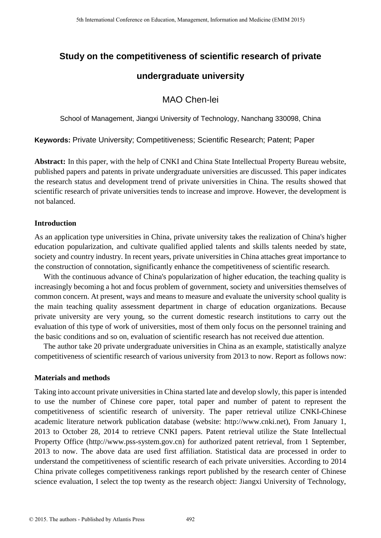# **Study on the competitiveness of scientific research of private**

# **undergraduate university**

## MAO Chen-lei

School of Management, Jiangxi University of Technology, Nanchang 330098, China

**Keywords:** Private University; Competitiveness; Scientific Research; Patent; Paper

**Abstract:** In this paper, with the help of CNKI and China State Intellectual Property Bureau website, published papers and patents in private undergraduate universities are discussed. This paper indicates the research status and development trend of private universities in China. The results showed that scientific research of private universities tends to increase and improve. However, the development is not balanced.

## **Introduction**

As an application type universities in China, private university takes the realization of China's higher education popularization, and cultivate qualified applied talents and skills talents needed by state, society and country industry. In recent years, private universities in China attaches great importance to the construction of connotation, significantly enhance the competitiveness of scientific research.

With the continuous advance of China's popularization of higher education, the teaching quality is increasingly becoming a hot and focus problem of government, society and universities themselves of common concern. At present, ways and means to measure and evaluate the university school quality is the main teaching quality assessment department in charge of education organizations. Because private university are very young, so the current domestic research institutions to carry out the evaluation of this type of work of universities, most of them only focus on the personnel training and the basic conditions and so on, evaluation of scientific research has not received due attention.

The author take 20 private undergraduate universities in China as an example, statistically analyze competitiveness of scientific research of various university from 2013 to now. Report as follows now:

### **Materials and methods**

Taking into account private universities in China started late and develop slowly, this paper is intended to use the number of Chinese core paper, total paper and number of patent to represent the competitiveness of scientific research of university. The paper retrieval utilize CNKI-Chinese academic literature network publication database (website: http://www.cnki.net), From January 1, 2013 to October 28, 2014 to retrieve CNKI papers. Patent retrieval utilize the State Intellectual Property Office (http://www.pss-system.gov.cn) for authorized patent retrieval, from 1 September, 2013 to now. The above data are used first affiliation. Statistical data are processed in order to understand the competitiveness of scientific research of each private universities. According to 2014 China private colleges competitiveness rankings report published by the research center of Chinese science evaluation, I select the top twenty as the research object: Jiangxi University of Technology,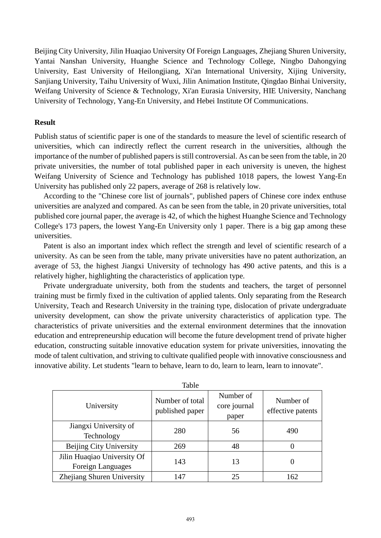Beijing City University, Jilin Huaqiao University Of Foreign Languages, Zhejiang Shuren University, Yantai Nanshan University, Huanghe Science and Technology College, Ningbo Dahongying University, East University of Heilongjiang, Xi'an International University, Xijing University, Sanjiang University, Taihu University of Wuxi, Jilin Animation Institute, Qingdao Binhai University, Weifang University of Science & Technology, Xi'an Eurasia University, HIE University, Nanchang University of Technology, Yang-En University, and Hebei Institute Of Communications.

### **Result**

Publish status of scientific paper is one of the standards to measure the level of scientific research of universities, which can indirectly reflect the current research in the universities, although the importance of the number of published papers is still controversial. As can be seen from the table, in 20 private universities, the number of total published paper in each university is uneven, the highest Weifang University of Science and Technology has published 1018 papers, the lowest Yang-En University has published only 22 papers, average of 268 is relatively low.

According to the "Chinese core list of journals", published papers of Chinese core index enthuse universities are analyzed and compared. As can be seen from the table, in 20 private universities, total published core journal paper, the average is 42, of which the highest Huanghe Science and Technology College's 173 papers, the lowest Yang-En University only 1 paper. There is a big gap among these universities.

Patent is also an important index which reflect the strength and level of scientific research of a university. As can be seen from the table, many private universities have no patent authorization, an average of 53, the highest Jiangxi University of technology has 490 active patents, and this is a relatively higher, highlighting the characteristics of application type.

Private undergraduate university, both from the students and teachers, the target of personnel training must be firmly fixed in the cultivation of applied talents. Only separating from the Research University, Teach and Research University in the training type, dislocation of private undergraduate university development, can show the private university characteristics of application type. The characteristics of private universities and the external environment determines that the innovation education and entrepreneurship education will become the future development trend of private higher education, constructing suitable innovative education system for private universities, innovating the mode of talent cultivation, and striving to cultivate qualified people with innovative consciousness and innovative ability. Let students "learn to behave, learn to do, learn to learn, learn to innovate".

| rabie                                            |                                    |                                    |                                |  |
|--------------------------------------------------|------------------------------------|------------------------------------|--------------------------------|--|
| University                                       | Number of total<br>published paper | Number of<br>core journal<br>paper | Number of<br>effective patents |  |
| Jiangxi University of<br>Technology              | 280                                | 56                                 | 490                            |  |
| Beijing City University                          | 269                                | 48                                 |                                |  |
| Jilin Huaqiao University Of<br>Foreign Languages | 143                                | 13                                 | 0                              |  |
| Zhejiang Shuren University                       | 147                                | 25                                 | 162                            |  |

 $T<sub>T<sub>T<sub>T<sub>T</sub></sub></sub></sub>$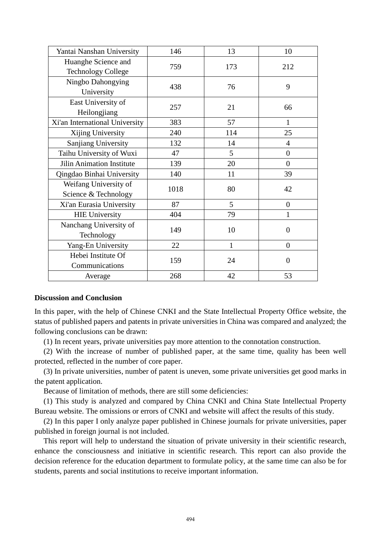| Yantai Nanshan University        | 146  | 13  | 10             |
|----------------------------------|------|-----|----------------|
| Huanghe Science and              | 759  | 173 | 212            |
| <b>Technology College</b>        |      |     |                |
| Ningbo Dahongying                | 438  | 76  | 9              |
| University                       |      |     |                |
| East University of               | 257  | 21  | 66             |
| Heilongjiang                     |      |     |                |
| Xi'an International University   | 383  | 57  | $\mathbf{1}$   |
| Xijing University                | 240  | 114 | 25             |
| Sanjiang University              | 132  | 14  | 4              |
| Taihu University of Wuxi         | 47   | 5   | $\overline{0}$ |
| <b>Jilin Animation Institute</b> | 139  | 20  | $\overline{0}$ |
| Qingdao Binhai University        | 140  | 11  | 39             |
| Weifang University of            | 1018 | 80  | 42             |
| Science & Technology             |      |     |                |
| Xi'an Eurasia University         | 87   | 5   | $\overline{0}$ |
| <b>HIE University</b>            | 404  | 79  | 1              |
| Nanchang University of           | 149  | 10  | $\overline{0}$ |
| Technology                       |      |     |                |
| Yang-En University               | 22   | 1   | $\overline{0}$ |
| Hebei Institute Of               | 159  | 24  | $\overline{0}$ |
| Communications                   |      |     |                |
| Average                          | 268  | 42  | 53             |

#### **Discussion and Conclusion**

In this paper, with the help of Chinese CNKI and the State Intellectual Property Office website, the status of published papers and patents in private universities in China was compared and analyzed; the following conclusions can be drawn:

(1) In recent years, private universities pay more attention to the connotation construction.

(2) With the increase of number of published paper, at the same time, quality has been well protected, reflected in the number of core paper.

(3) In private universities, number of patent is uneven, some private universities get good marks in the patent application.

Because of limitation of methods, there are still some deficiencies:

(1) This study is analyzed and compared by China CNKI and China State Intellectual Property Bureau website. The omissions or errors of CNKI and website will affect the results of this study.

(2) In this paper I only analyze paper published in Chinese journals for private universities, paper published in foreign journal is not included.

This report will help to understand the situation of private university in their scientific research, enhance the consciousness and initiative in scientific research. This report can also provide the decision reference for the education department to formulate policy, at the same time can also be for students, parents and social institutions to receive important information.